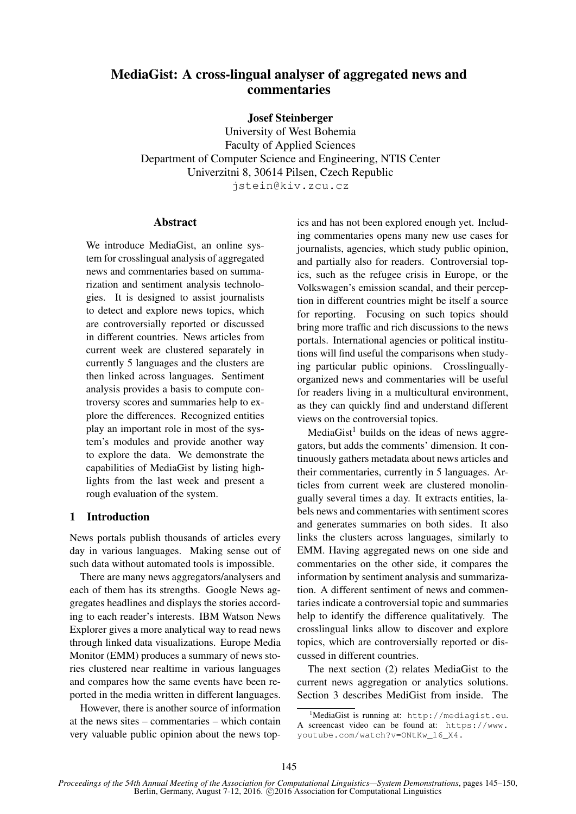# MediaGist: A cross-lingual analyser of aggregated news and commentaries

### Josef Steinberger

University of West Bohemia Faculty of Applied Sciences Department of Computer Science and Engineering, NTIS Center Univerzitni 8, 30614 Pilsen, Czech Republic jstein@kiv.zcu.cz

### **Abstract**

We introduce MediaGist, an online system for crosslingual analysis of aggregated news and commentaries based on summarization and sentiment analysis technologies. It is designed to assist journalists to detect and explore news topics, which are controversially reported or discussed in different countries. News articles from current week are clustered separately in currently 5 languages and the clusters are then linked across languages. Sentiment analysis provides a basis to compute controversy scores and summaries help to explore the differences. Recognized entities play an important role in most of the system's modules and provide another way to explore the data. We demonstrate the capabilities of MediaGist by listing highlights from the last week and present a rough evaluation of the system.

### 1 Introduction

News portals publish thousands of articles every day in various languages. Making sense out of such data without automated tools is impossible.

There are many news aggregators/analysers and each of them has its strengths. Google News aggregates headlines and displays the stories according to each reader's interests. IBM Watson News Explorer gives a more analytical way to read news through linked data visualizations. Europe Media Monitor (EMM) produces a summary of news stories clustered near realtime in various languages and compares how the same events have been reported in the media written in different languages.

However, there is another source of information at the news sites – commentaries – which contain very valuable public opinion about the news top-

ics and has not been explored enough yet. Including commentaries opens many new use cases for journalists, agencies, which study public opinion, and partially also for readers. Controversial topics, such as the refugee crisis in Europe, or the Volkswagen's emission scandal, and their perception in different countries might be itself a source for reporting. Focusing on such topics should bring more traffic and rich discussions to the news portals. International agencies or political institutions will find useful the comparisons when studying particular public opinions. Crosslinguallyorganized news and commentaries will be useful for readers living in a multicultural environment, as they can quickly find and understand different views on the controversial topics.

MediaGist<sup>1</sup> builds on the ideas of news aggregators, but adds the comments' dimension. It continuously gathers metadata about news articles and their commentaries, currently in 5 languages. Articles from current week are clustered monolingually several times a day. It extracts entities, labels news and commentaries with sentiment scores and generates summaries on both sides. It also links the clusters across languages, similarly to EMM. Having aggregated news on one side and commentaries on the other side, it compares the information by sentiment analysis and summarization. A different sentiment of news and commentaries indicate a controversial topic and summaries help to identify the difference qualitatively. The crosslingual links allow to discover and explore topics, which are controversially reported or discussed in different countries.

The next section (2) relates MediaGist to the current news aggregation or analytics solutions. Section 3 describes MediGist from inside. The

 $^1$ Media $\rm G$ ist is running at: http://mediagist.eu. A screencast video can be found at: https://www. youtube.com/watch?v=ONtKw\_l6\_X4.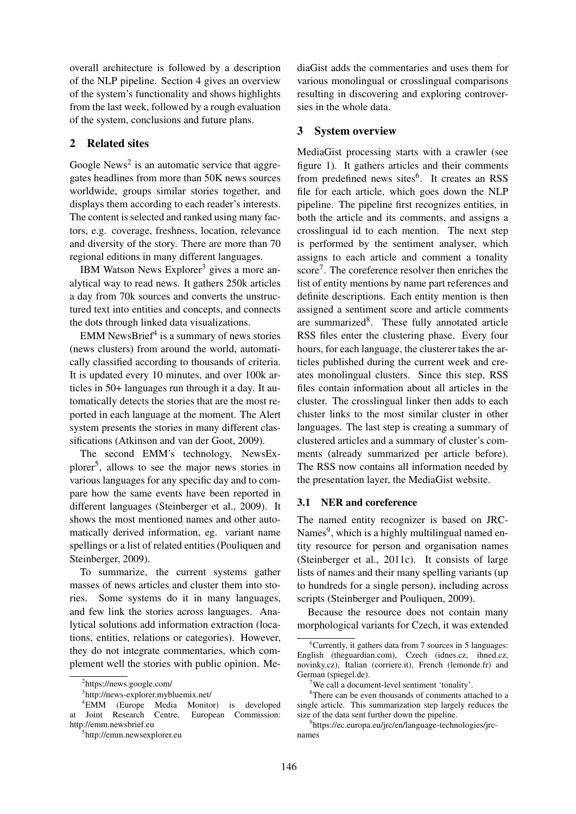overall architecture is followed by a description of the NLP pipeline. Section 4 gives an overview of the system's functionality and shows highlights from the last week, followed by a rough evaluation of the system, conclusions and future plans.

### 2 Related sites

Google News<sup>2</sup> is an automatic service that aggregates headlines from more than 50K news sources worldwide, groups similar stories together, and displays them according to each reader's interests. The content is selected and ranked using many factors, e.g. coverage, freshness, location, relevance and diversity of the story. There are more than 70 regional editions in many different languages.

IBM Watson News Explorer<sup>3</sup> gives a more analytical way to read news. It gathers 250k articles a day from 70k sources and converts the unstructured text into entities and concepts, and connects the dots through linked data visualizations.

EMM NewsBrief $4$  is a summary of news stories (news clusters) from around the world, automatically classified according to thousands of criteria. It is updated every 10 minutes, and over 100k articles in 50+ languages run through it a day. It automatically detects the stories that are the most reported in each language at the moment. The Alert system presents the stories in many different classifications (Atkinson and van der Goot, 2009).

The second EMM's technology, NewsExplorer<sup>5</sup> , allows to see the major news stories in various languages for any specific day and to compare how the same events have been reported in different languages (Steinberger et al., 2009). It shows the most mentioned names and other automatically derived information, eg. variant name spellings or a list of related entities (Pouliquen and Steinberger, 2009).

To summarize, the current systems gather masses of news articles and cluster them into stories. Some systems do it in many languages, and few link the stories across languages. Analytical solutions add information extraction (locations, entities, relations or categories). However, they do not integrate commentaries, which complement well the stories with public opinion. Me-

diaGist adds the commentaries and uses them for various monolingual or crosslingual comparisons resulting in discovering and exploring controversies in the whole data.

#### 3 System overview

MediaGist processing starts with a crawler (see figure 1). It gathers articles and their comments from predefined news sites<sup>6</sup>. It creates an RSS file for each article, which goes down the NLP pipeline. The pipeline first recognizes entities, in both the article and its comments, and assigns a crosslingual id to each mention. The next step is performed by the sentiment analyser, which assigns to each article and comment a tonality score<sup>7</sup>. The coreference resolver then enriches the list of entity mentions by name part references and definite descriptions. Each entity mention is then assigned a sentiment score and article comments are summarized<sup>8</sup>. These fully annotated article RSS files enter the clustering phase. Every four hours, for each language, the clusterer takes the articles published during the current week and creates monolingual clusters. Since this step, RSS files contain information about all articles in the cluster. The crosslingual linker then adds to each cluster links to the most similar cluster in other languages. The last step is creating a summary of clustered articles and a summary of cluster's comments (already summarized per article before). The RSS now contains all information needed by the presentation layer, the MediaGist website.

### 3.1 NER and coreference

The named entity recognizer is based on JRC-Names<sup>9</sup>, which is a highly multilingual named entity resource for person and organisation names (Steinberger et al., 2011c). It consists of large lists of names and their many spelling variants (up to hundreds for a single person), including across scripts (Steinberger and Pouliquen, 2009).

Because the resource does not contain many morphological variants for Czech, it was extended

<sup>2</sup> https://news.google.com/

<sup>3</sup> http://news-explorer.mybluemix.net/

<sup>&</sup>lt;sup>4</sup>EMM (Europe Media Monitor) is developed<br>Joint Research Centre, European Commission: at Joint Research Centre, http://emm.newsbrief.eu

<sup>5</sup> http://emm.newsexplorer.eu

 ${}^{6}$ Currently, it gathers data from 7 sources in 5 languages: English (theguardian.com), Czech (idnes.cz, ihned.cz, novinky.cz), Italian (corriere.it), French (lemonde.fr) and German (spiegel.de).

<sup>&</sup>lt;sup>7</sup>We call a document-level sentiment 'tonality'.

 $8$ There can be even thousands of comments attached to a single article. This summarization step largely reduces the size of the data sent further down the pipeline.

<sup>9</sup> https://ec.europa.eu/jrc/en/language-technologies/jrcnames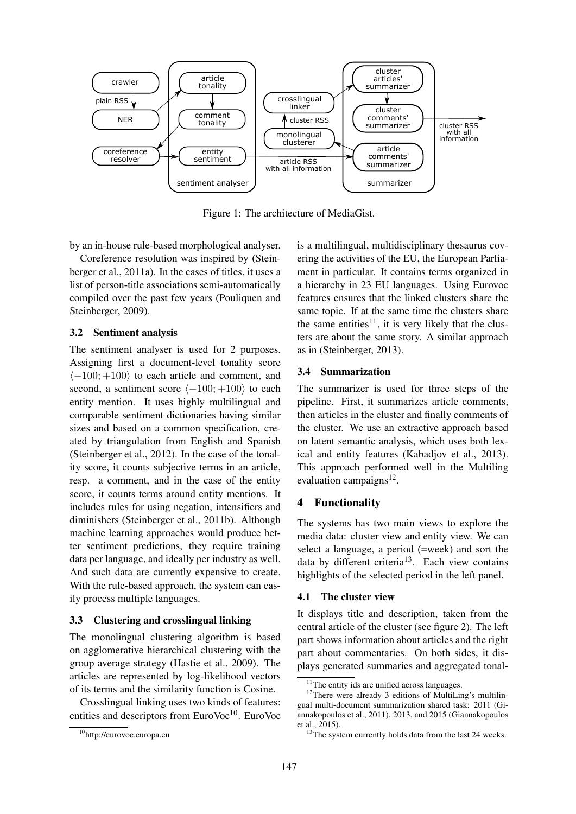

Figure 1: The architecture of MediaGist.

by an in-house rule-based morphological analyser.

Coreference resolution was inspired by (Steinberger et al., 2011a). In the cases of titles, it uses a list of person-title associations semi-automatically compiled over the past few years (Pouliquen and Steinberger, 2009).

#### 3.2 Sentiment analysis

The sentiment analyser is used for 2 purposes. Assigning first a document-level tonality score  $\langle -100; +100 \rangle$  to each article and comment, and second, a sentiment score  $\langle -100; +100 \rangle$  to each entity mention. It uses highly multilingual and comparable sentiment dictionaries having similar sizes and based on a common specification, created by triangulation from English and Spanish (Steinberger et al., 2012). In the case of the tonality score, it counts subjective terms in an article, resp. a comment, and in the case of the entity score, it counts terms around entity mentions. It includes rules for using negation, intensifiers and diminishers (Steinberger et al., 2011b). Although machine learning approaches would produce better sentiment predictions, they require training data per language, and ideally per industry as well. And such data are currently expensive to create. With the rule-based approach, the system can easily process multiple languages.

#### 3.3 Clustering and crosslingual linking

The monolingual clustering algorithm is based on agglomerative hierarchical clustering with the group average strategy (Hastie et al., 2009). The articles are represented by log-likelihood vectors of its terms and the similarity function is Cosine.

Crosslingual linking uses two kinds of features: entities and descriptors from EuroVoc<sup>10</sup>. EuroVoc is a multilingual, multidisciplinary thesaurus covering the activities of the EU, the European Parliament in particular. It contains terms organized in a hierarchy in 23 EU languages. Using Eurovoc features ensures that the linked clusters share the same topic. If at the same time the clusters share the same entities<sup>11</sup>, it is very likely that the clusters are about the same story. A similar approach as in (Steinberger, 2013).

### 3.4 Summarization

The summarizer is used for three steps of the pipeline. First, it summarizes article comments, then articles in the cluster and finally comments of the cluster. We use an extractive approach based on latent semantic analysis, which uses both lexical and entity features (Kabadjov et al., 2013). This approach performed well in the Multiling evaluation campaigns<sup>12</sup>.

### 4 Functionality

The systems has two main views to explore the media data: cluster view and entity view. We can select a language, a period (=week) and sort the data by different criteria<sup>13</sup>. Each view contains highlights of the selected period in the left panel.

#### 4.1 The cluster view

It displays title and description, taken from the central article of the cluster (see figure 2). The left part shows information about articles and the right part about commentaries. On both sides, it displays generated summaries and aggregated tonal-

<sup>10</sup>http://eurovoc.europa.eu

<sup>&</sup>lt;sup>11</sup>The entity ids are unified across languages.

 $12$ There were already 3 editions of MultiLing's multilingual multi-document summarization shared task: 2011 (Giannakopoulos et al., 2011), 2013, and 2015 (Giannakopoulos et al., 2015).

<sup>&</sup>lt;sup>13</sup>The system currently holds data from the last 24 weeks.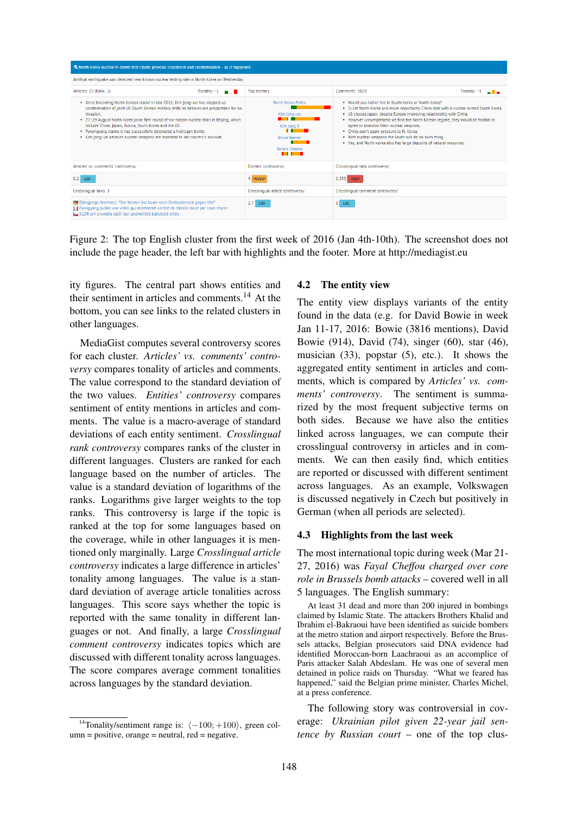

Figure 2: The top English cluster from the first week of 2016 (Jan 4th-10th). The screenshot does not include the page header, the left bar with highlights and the footer. More at http://mediagist.eu

ity figures. The central part shows entities and their sentiment in articles and comments.<sup>14</sup> At the bottom, you can see links to the related clusters in other languages.

MediaGist computes several controversy scores for each cluster. *Articles' vs. comments' controversy* compares tonality of articles and comments. The value correspond to the standard deviation of the two values. *Entities' controversy* compares sentiment of entity mentions in articles and comments. The value is a macro-average of standard deviations of each entity sentiment. *Crosslingual rank controversy* compares ranks of the cluster in different languages. Clusters are ranked for each language based on the number of articles. The value is a standard deviation of logarithms of the ranks. Logarithms give larger weights to the top ranks. This controversy is large if the topic is ranked at the top for some languages based on the coverage, while in other languages it is mentioned only marginally. Large *Crosslingual article controversy* indicates a large difference in articles' tonality among languages. The value is a standard deviation of average article tonalities across languages. This score says whether the topic is reported with the same tonality in different languages or not. And finally, a large *Crosslingual comment controversy* indicates topics which are discussed with different tonality across languages. The score compares average comment tonalities across languages by the standard deviation.

#### 4.2 The entity view

The entity view displays variants of the entity found in the data (e.g. for David Bowie in week Jan 11-17, 2016: Bowie (3816 mentions), David Bowie (914), David (74), singer (60), star (46), musician (33), popstar (5), etc.). It shows the aggregated entity sentiment in articles and comments, which is compared by *Articles' vs. comments' controversy*. The sentiment is summarized by the most frequent subjective terms on both sides. Because we have also the entities linked across languages, we can compute their crosslingual controversy in articles and in comments. We can then easily find, which entities are reported or discussed with different sentiment across languages. As an example, Volkswagen is discussed negatively in Czech but positively in German (when all periods are selected).

#### 4.3 Highlights from the last week

The most international topic during week (Mar 21- 27, 2016) was *Fayal Cheffou charged over core role in Brussels bomb attacks* – covered well in all 5 languages. The English summary:

At least 31 dead and more than 200 injured in bombings claimed by Islamic State. The attackers Brothers Khalid and Ibrahim el-Bakraoui have been identified as suicide bombers at the metro station and airport respectively. Before the Brussels attacks, Belgian prosecutors said DNA evidence had identified Moroccan-born Laachraoui as an accomplice of Paris attacker Salah Abdeslam. He was one of several men detained in police raids on Thursday. "What we feared has happened," said the Belgian prime minister, Charles Michel, at a press conference.

The following story was controversial in coverage: *Ukrainian pilot given 22-year jail sentence by Russian court* – one of the top clus-

<sup>&</sup>lt;sup>14</sup>Tonality/sentiment range is:  $\langle -100; +100 \rangle$ , green column = positive, orange = neutral, red = negative.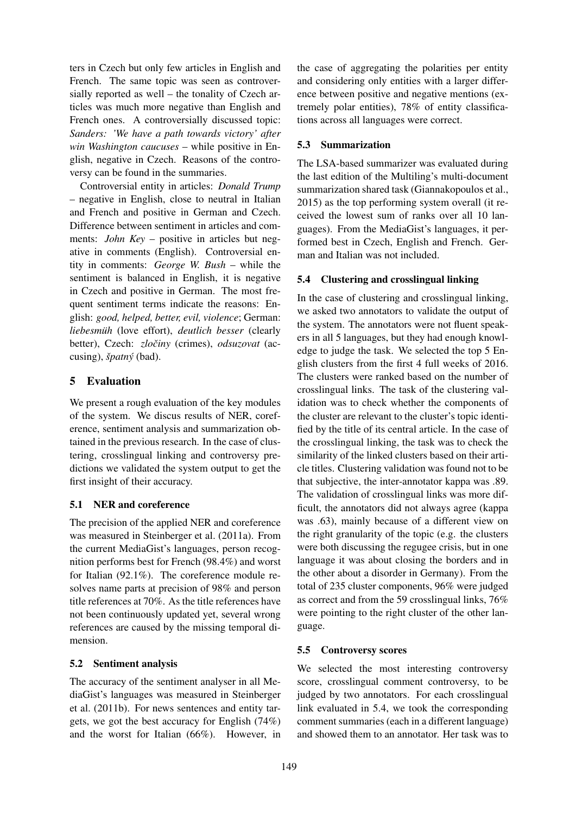ters in Czech but only few articles in English and French. The same topic was seen as controversially reported as well – the tonality of Czech articles was much more negative than English and French ones. A controversially discussed topic: *Sanders: 'We have a path towards victory' after win Washington caucuses* – while positive in English, negative in Czech. Reasons of the controversy can be found in the summaries.

Controversial entity in articles: *Donald Trump* – negative in English, close to neutral in Italian and French and positive in German and Czech. Difference between sentiment in articles and comments: *John Key* – positive in articles but negative in comments (English). Controversial entity in comments: *George W. Bush* – while the sentiment is balanced in English, it is negative in Czech and positive in German. The most frequent sentiment terms indicate the reasons: English: *good, helped, better, evil, violence*; German: *liebesmuh¨* (love effort), *deutlich besser* (clearly better), Czech: *zločiny* (crimes), *odsuzovat* (accusing), *špatný* (bad).

# 5 Evaluation

We present a rough evaluation of the key modules of the system. We discus results of NER, coreference, sentiment analysis and summarization obtained in the previous research. In the case of clustering, crosslingual linking and controversy predictions we validated the system output to get the first insight of their accuracy.

### 5.1 NER and coreference

The precision of the applied NER and coreference was measured in Steinberger et al. (2011a). From the current MediaGist's languages, person recognition performs best for French (98.4%) and worst for Italian (92.1%). The coreference module resolves name parts at precision of 98% and person title references at 70%. As the title references have not been continuously updated yet, several wrong references are caused by the missing temporal dimension.

### 5.2 Sentiment analysis

The accuracy of the sentiment analyser in all MediaGist's languages was measured in Steinberger et al. (2011b). For news sentences and entity targets, we got the best accuracy for English (74%) and the worst for Italian (66%). However, in

the case of aggregating the polarities per entity and considering only entities with a larger difference between positive and negative mentions (extremely polar entities), 78% of entity classifications across all languages were correct.

# 5.3 Summarization

The LSA-based summarizer was evaluated during the last edition of the Multiling's multi-document summarization shared task (Giannakopoulos et al., 2015) as the top performing system overall (it received the lowest sum of ranks over all 10 languages). From the MediaGist's languages, it performed best in Czech, English and French. German and Italian was not included.

# 5.4 Clustering and crosslingual linking

In the case of clustering and crosslingual linking, we asked two annotators to validate the output of the system. The annotators were not fluent speakers in all 5 languages, but they had enough knowledge to judge the task. We selected the top 5 English clusters from the first 4 full weeks of 2016. The clusters were ranked based on the number of crosslingual links. The task of the clustering validation was to check whether the components of the cluster are relevant to the cluster's topic identified by the title of its central article. In the case of the crosslingual linking, the task was to check the similarity of the linked clusters based on their article titles. Clustering validation was found not to be that subjective, the inter-annotator kappa was .89. The validation of crosslingual links was more difficult, the annotators did not always agree (kappa was .63), mainly because of a different view on the right granularity of the topic (e.g. the clusters were both discussing the regugee crisis, but in one language it was about closing the borders and in the other about a disorder in Germany). From the total of 235 cluster components, 96% were judged as correct and from the 59 crosslingual links, 76% were pointing to the right cluster of the other language.

# 5.5 Controversy scores

We selected the most interesting controversy score, crosslingual comment controversy, to be judged by two annotators. For each crosslingual link evaluated in 5.4, we took the corresponding comment summaries (each in a different language) and showed them to an annotator. Her task was to